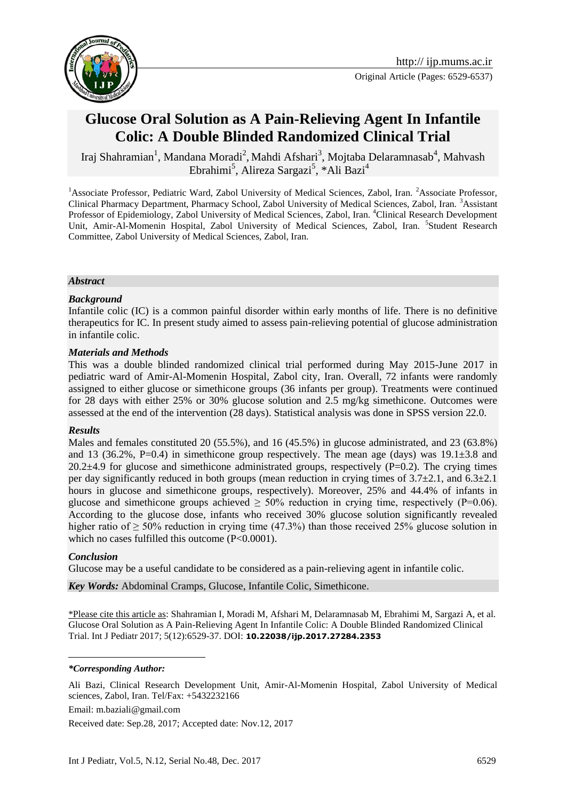

# **Glucose Oral Solution as A Pain-Relieving Agent In Infantile Colic: A Double Blinded Randomized Clinical Trial**

Iraj Shahramian<sup>1</sup>, Mandana Moradi<sup>2</sup>, Mahdi Afshari<sup>3</sup>, Mojtaba Delaramnasab<sup>4</sup>, Mahvash Ebrahimi<sup>5</sup>, Alireza Sargazi<sup>5</sup>, \*Ali Bazi<sup>4</sup>

<sup>1</sup>Associate Professor, Pediatric Ward, Zabol University of Medical Sciences, Zabol, Iran. <sup>2</sup>Associate Professor, Clinical Pharmacy Department, Pharmacy School, Zabol University of Medical Sciences, Zabol, Iran. <sup>3</sup>Assistant Professor of Epidemiology, Zabol University of Medical Sciences, Zabol, Iran. <sup>4</sup>Clinical Research Development Unit, Amir-Al-Momenin Hospital, Zabol University of Medical Sciences, Zabol, Iran. <sup>5</sup>Student Research Committee, Zabol University of Medical Sciences, Zabol, Iran.

#### *Abstract*

#### *Background*

Infantile colic (IC) is a common painful disorder within early months of life. There is no definitive therapeutics for IC. In present study aimed to assess pain-relieving potential of glucose administration in infantile colic.

#### *Materials and Methods*

This was a double blinded randomized clinical trial performed during May 2015-June 2017 in pediatric ward of Amir-Al-Momenin Hospital, Zabol city, Iran. Overall, 72 infants were randomly assigned to either glucose or simethicone groups (36 infants per group). Treatments were continued for 28 days with either 25% or 30% glucose solution and 2.5 mg/kg simethicone. Outcomes were assessed at the end of the intervention (28 days). Statistical analysis was done in SPSS version 22.0.

#### *Results*

Males and females constituted 20 (55.5%), and 16 (45.5%) in glucose administrated, and 23 (63.8%) and 13 (36.2%, P=0.4) in simethicone group respectively. The mean age (days) was  $19.1\pm3.8$  and 20.2 $\pm$ 4.9 for glucose and simethicone administrated groups, respectively (P=0.2). The crying times per day significantly reduced in both groups (mean reduction in crying times of  $3.7\pm2.1$ , and  $6.3\pm2.1$ hours in glucose and simethicone groups, respectively). Moreover, 25% and 44.4% of infants in glucose and simethicone groups achieved  $\geq 50\%$  reduction in crying time, respectively (P=0.06). According to the glucose dose, infants who received 30% glucose solution significantly revealed higher ratio of  $> 50\%$  reduction in crying time (47.3%) than those received 25% glucose solution in which no cases fulfilled this outcome (P<0.0001).

#### *Conclusion*

<u>.</u>

Glucose may be a useful candidate to be considered as a pain-relieving agent in infantile colic.

*Key Words:* Abdominal Cramps, Glucose, Infantile Colic, Simethicone.

\*Please cite this article as: Shahramian I, Moradi M, Afshari M, Delaramnasab M, Ebrahimi M, Sargazi A, et al. Glucose Oral Solution as A Pain-Relieving Agent In Infantile Colic: A Double Blinded Randomized Clinical Trial. Int J Pediatr 2017; 5(12):6529-37. DOI: **10.22038/ijp.2017.27284.2353**

*\*Corresponding Author:*

Ali Bazi, Clinical Research Development Unit, Amir-Al-Momenin Hospital, Zabol University of Medical sciences, Zabol, Iran. Tel/Fax: +5432232166

Email: m.baziali@gmail.com

Received date: Sep.28, 2017; Accepted date: Nov.12, 2017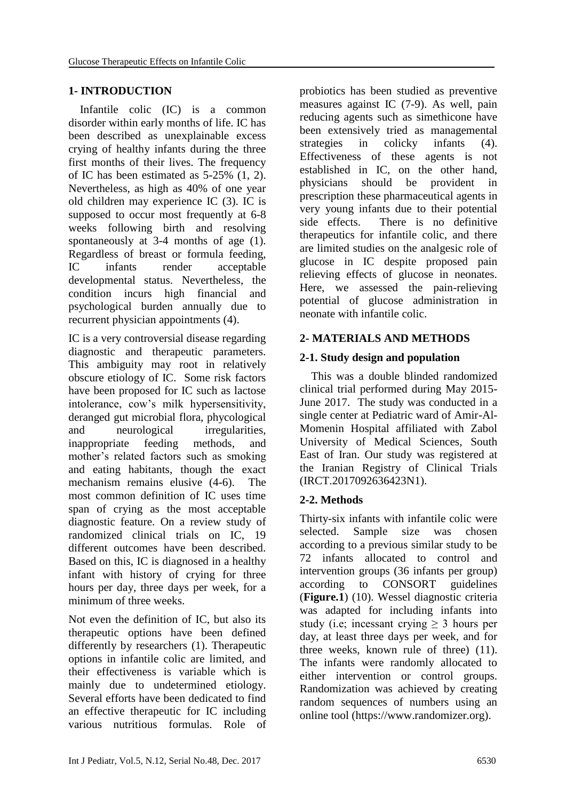# **1- INTRODUCTION**

 Infantile colic (IC) is a common disorder within early months of life. IC has been described as unexplainable excess crying of healthy infants during the three first months of their lives. The frequency of IC has been estimated as 5-25% (1, 2). Nevertheless, as high as 40% of one year old children may experience IC (3). IC is supposed to occur most frequently at 6-8 weeks following birth and resolving spontaneously at 3-4 months of age (1). Regardless of breast or formula feeding, IC infants render acceptable developmental status. Nevertheless, the condition incurs high financial and psychological burden annually due to recurrent physician appointments (4).

IC is a very controversial disease regarding diagnostic and therapeutic parameters. This ambiguity may root in relatively obscure etiology of IC. Some risk factors have been proposed for IC such as lactose intolerance, cow's milk hypersensitivity, deranged gut microbial flora, phycological and neurological irregularities, inappropriate feeding methods, and mother's related factors such as smoking and eating habitants, though the exact mechanism remains elusive (4-6). The most common definition of IC uses time span of crying as the most acceptable diagnostic feature. On a review study of randomized clinical trials on IC, 19 different outcomes have been described. Based on this, IC is diagnosed in a healthy infant with history of crying for three hours per day, three days per week, for a minimum of three weeks.

Not even the definition of IC, but also its therapeutic options have been defined differently by researchers (1). Therapeutic options in infantile colic are limited, and their effectiveness is variable which is mainly due to undetermined etiology. Several efforts have been dedicated to find an effective therapeutic for IC including various nutritious formulas. Role of

probiotics has been studied as preventive measures against IC (7-9). As well, pain reducing agents such as simethicone have been extensively tried as managemental strategies in colicky infants (4). Effectiveness of these agents is not established in IC, on the other hand, physicians should be provident in prescription these pharmaceutical agents in very young infants due to their potential side effects. There is no definitive therapeutics for infantile colic, and there are limited studies on the analgesic role of glucose in IC despite proposed pain relieving effects of glucose in neonates. Here, we assessed the pain-relieving potential of glucose administration in neonate with infantile colic.

### **2- MATERIALS AND METHODS**

### **2-1. Study design and population**

 This was a double blinded randomized clinical trial performed during May 2015- June 2017. The study was conducted in a single center at Pediatric ward of Amir-Al-Momenin Hospital affiliated with Zabol University of Medical Sciences, South East of Iran. Our study was registered at the Iranian Registry of Clinical Trials (IRCT.2017092636423N1).

# **2-2. Methods**

Thirty-six infants with infantile colic were selected. Sample size was chosen according to a previous similar study to be 72 infants allocated to control and intervention groups (36 infants per group) according to CONSORT guidelines (**Figure.1**) (10). Wessel diagnostic criteria was adapted for including infants into study (i.e; incessant crying  $\geq$  3 hours per day, at least three days per week, and for three weeks, known rule of three) (11). The infants were randomly allocated to either intervention or control groups. Randomization was achieved by creating random sequences of numbers using an online tool (https://www.randomizer.org).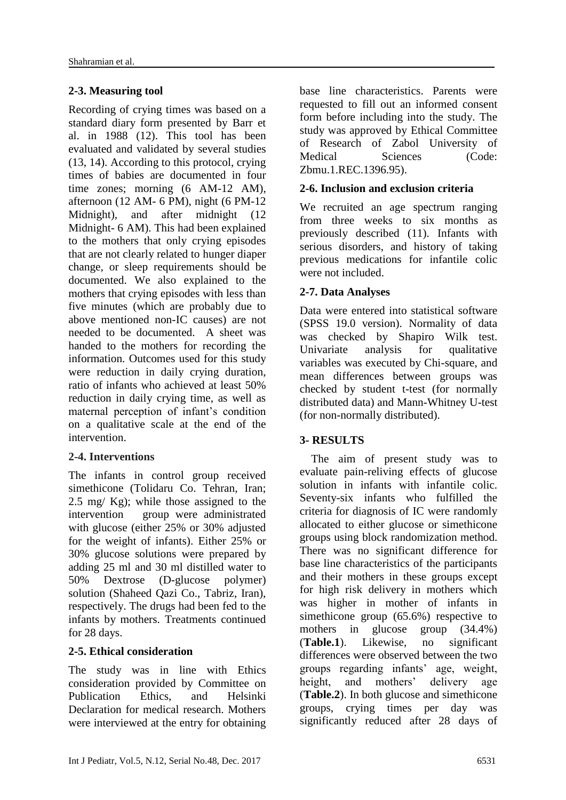# **2-3. Measuring tool**

Recording of crying times was based on a standard diary form presented by Barr et al. in 1988 (12). This tool has been evaluated and validated by several studies (13, 14). According to this protocol, crying times of babies are documented in four time zones; morning (6 AM-12 AM), afternoon (12 AM- 6 PM), night (6 PM-12 Midnight), and after midnight (12) Midnight- 6 AM). This had been explained to the mothers that only crying episodes that are not clearly related to hunger diaper change, or sleep requirements should be documented. We also explained to the mothers that crying episodes with less than five minutes (which are probably due to above mentioned non-IC causes) are not needed to be documented. A sheet was handed to the mothers for recording the information. Outcomes used for this study were reduction in daily crying duration, ratio of infants who achieved at least 50% reduction in daily crying time, as well as maternal perception of infant's condition on a qualitative scale at the end of the intervention.

# **2-4. Interventions**

The infants in control group received simethicone (Tolidaru Co. Tehran, Iran; 2.5 mg/ Kg); while those assigned to the intervention group were administrated with glucose (either 25% or 30% adjusted for the weight of infants). Either 25% or 30% glucose solutions were prepared by adding 25 ml and 30 ml distilled water to 50% Dextrose (D-glucose polymer) solution (Shaheed Qazi Co., Tabriz, Iran), respectively. The drugs had been fed to the infants by mothers. Treatments continued for 28 days.

# **2-5. Ethical consideration**

The study was in line with Ethics consideration provided by Committee on Publication Ethics, and Helsinki Declaration for medical research. Mothers were interviewed at the entry for obtaining base line characteristics. Parents were requested to fill out an informed consent form before including into the study. The study was approved by Ethical Committee of Research of Zabol University of Medical Sciences (Code: Zbmu.1.REC.1396.95).

# **2-6. Inclusion and exclusion criteria**

We recruited an age spectrum ranging from three weeks to six months as previously described (11). Infants with serious disorders, and history of taking previous medications for infantile colic were not included.

# **2-7. Data Analyses**

Data were entered into statistical software (SPSS 19.0 version). Normality of data was checked by Shapiro Wilk test. Univariate analysis for qualitative variables was executed by Chi-square, and mean differences between groups was checked by student t-test (for normally distributed data) and Mann-Whitney U-test (for non-normally distributed).

# **3- RESULTS**

 The aim of present study was to evaluate pain-reliving effects of glucose solution in infants with infantile colic. Seventy-six infants who fulfilled the criteria for diagnosis of IC were randomly allocated to either glucose or simethicone groups using block randomization method. There was no significant difference for base line characteristics of the participants and their mothers in these groups except for high risk delivery in mothers which was higher in mother of infants in simethicone group (65.6%) respective to mothers in glucose group (34.4%) (**Table.1**). Likewise, no significant differences were observed between the two groups regarding infants' age, weight, height, and mothers' delivery age (**Table.2**). In both glucose and simethicone groups, crying times per day was significantly reduced after 28 days of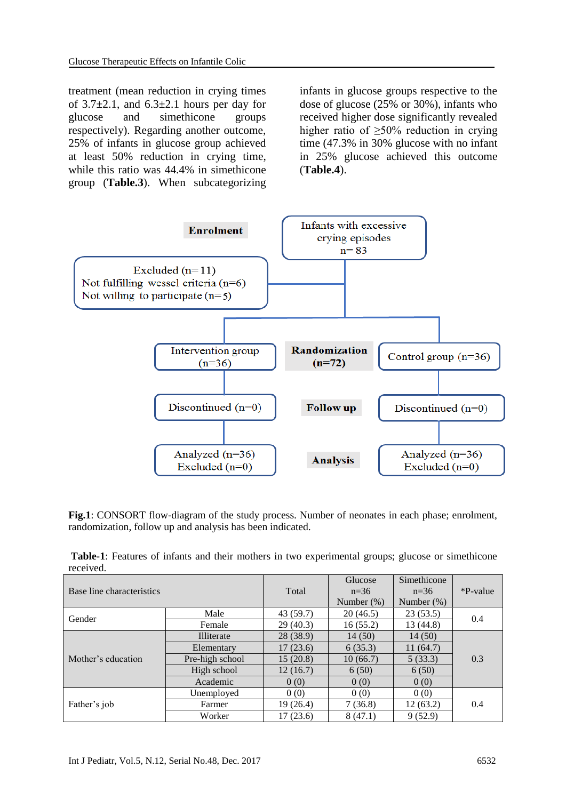treatment (mean reduction in crying times of  $3.7\pm2.1$ , and  $6.3\pm2.1$  hours per day for glucose and simethicone groups respectively). Regarding another outcome, 25% of infants in glucose group achieved at least 50% reduction in crying time, while this ratio was 44.4% in simethicone group (**Table.3**). When subcategorizing

infants in glucose groups respective to the dose of glucose (25% or 30%), infants who received higher dose significantly revealed higher ratio of  $>50\%$  reduction in crying time (47.3% in 30% glucose with no infant in 25% glucose achieved this outcome (**Table.4**).



Fig.1: CONSORT flow-diagram of the study process. Number of neonates in each phase; enrolment, randomization, follow up and analysis has been indicated.

| Table-1: Features of infants and their mothers in two experimental groups; glucose or simethicone |  |  |  |  |
|---------------------------------------------------------------------------------------------------|--|--|--|--|
| received.                                                                                         |  |  |  |  |

| Base line characteristics |                 | Total     | Glucose<br>$n=36$<br>Number $(\%)$ | Simethicone<br>$n=36$<br>Number $(\%)$ | *P-value |  |
|---------------------------|-----------------|-----------|------------------------------------|----------------------------------------|----------|--|
|                           | Male            | 43 (59.7) | 20(46.5)                           | 23(53.5)                               |          |  |
| Gender                    | Female          | 29(40.3)  | 16(55.2)                           | 13(44.8)                               | 0.4      |  |
|                           | Illiterate      | 28 (38.9) | 14(50)                             | 14(50)                                 |          |  |
|                           | Elementary      | 17(23.6)  | 6(35.3)                            | 11(64.7)                               |          |  |
| Mother's education        | Pre-high school | 15(20.8)  | 10(66.7)                           | 5(33.3)                                | 0.3      |  |
|                           | High school     | 12(16.7)  | 6(50)                              | 6(50)                                  |          |  |
|                           | Academic        | 0(0)      | 0(0)                               | 0(0)                                   |          |  |
|                           | Unemployed      | 0(0)      | 0(0)                               | 0(0)                                   |          |  |
| Father's job              | Farmer          | 19(26.4)  | 7(36.8)                            | 12(63.2)                               | 0.4      |  |
|                           | Worker          | 17(23.6)  | 8(47.1)                            | 9(52.9)                                |          |  |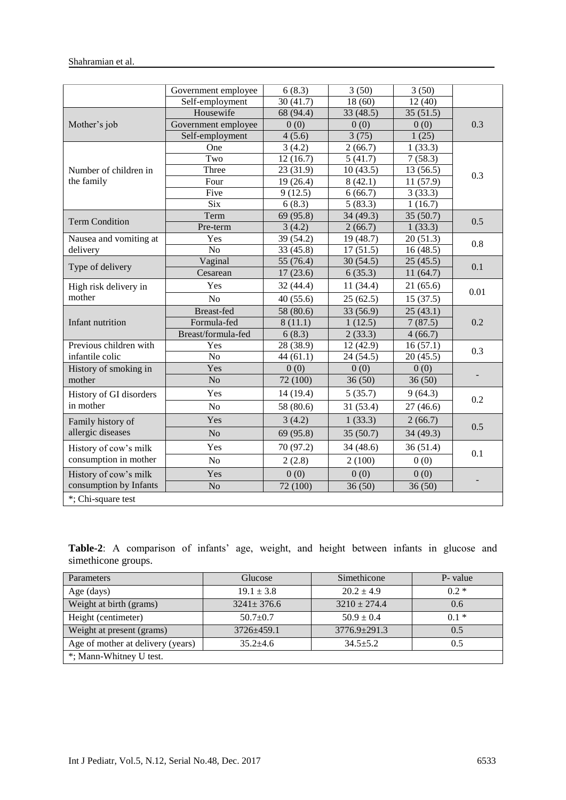|                         | Government employee | 6(8.3)              | 3(50)     | 3(50)     |      |  |
|-------------------------|---------------------|---------------------|-----------|-----------|------|--|
|                         | Self-employment     | 30(41.7)            | 18(60)    | 12(40)    |      |  |
|                         | Housewife           | 68 (94.4)           | 33 (48.5) | 35(51.5)  |      |  |
| Mother's job            | Government employee | 0(0)                | 0(0)      | 0(0)      | 0.3  |  |
|                         | Self-employment     | 4(5.6)              | 3(75)     | 1(25)     |      |  |
|                         | One                 | 3(4.2)              | 2(66.7)   | 1(33.3)   |      |  |
|                         | Two                 | 12(16.7)            | 5(41.7)   | 7(58.3)   | 0.3  |  |
| Number of children in   | Three               | 23(31.9)            | 10(43.5)  | 13(56.5)  |      |  |
| the family              | Four                | 19(26.4)            | 8(42.1)   | 11(57.9)  |      |  |
|                         | Five                | 9(12.5)             | 6(66.7)   | 3(33.3)   |      |  |
|                         | $\overline{Six}$    | 6(8.3)              | 5(83.3)   | 1(16.7)   |      |  |
| <b>Term Condition</b>   | Term                | 69 (95.8)           | 34 (49.3) | 35(50.7)  | 0.5  |  |
|                         | Pre-term            | 3(4.2)              | 2(66.7)   | 1(33.3)   |      |  |
| Nausea and vomiting at  | Yes                 | 39 (54.2)           | 19 (48.7) | 20(51.3)  | 0.8  |  |
| delivery                | N <sub>o</sub>      | 33 (45.8)           | 17(51.5)  | 16(48.5)  |      |  |
| Type of delivery        | Vaginal             | 55 (76.4)           | 30(54.5)  | 25(45.5)  | 0.1  |  |
|                         | Cesarean            | 17(23.6)<br>6(35.3) |           | 11(64.7)  |      |  |
| High risk delivery in   | Yes                 | 32(44.4)            | 11(34.4)  | 21(65.6)  | 0.01 |  |
| mother                  | N <sub>o</sub>      | 40(55.6)            | 25(62.5)  | 15(37.5)  |      |  |
|                         | <b>Breast-fed</b>   | 58 (80.6)           | 33 (56.9) | 25(43.1)  |      |  |
| Infant nutrition        | Formula-fed         | 8(11.1)             | 1(12.5)   | 7(87.5)   | 0.2  |  |
|                         | Breast/formula-fed  | 6(8.3)              | 2(33.3)   | 4(66.7)   |      |  |
| Previous children with  | Yes                 | 28 (38.9)           | 12 (42.9) | 16(57.1)  | 0.3  |  |
| infantile colic         | $\overline{No}$     | 44(61.1)            | 24(54.5)  | 20(45.5)  |      |  |
| History of smoking in   | Yes                 | 0(0)                | 0(0)      | 0(0)      |      |  |
| mother                  | N <sub>o</sub>      | 72 (100)            | 36(50)    | 36(50)    |      |  |
| History of GI disorders | Yes                 | 14 (19.4)           | 5(35.7)   | 9(64.3)   |      |  |
| in mother               | N <sub>o</sub>      | 58 (80.6)           | 31 (53.4) | 27(46.6)  | 0.2  |  |
| Family history of       | Yes                 | 3(4.2)              | 1(33.3)   | 2(66.7)   |      |  |
| allergic diseases       | N <sub>o</sub>      | 69 (95.8)           | 35(50.7)  | 34 (49.3) | 0.5  |  |
| History of cow's milk   | Yes                 | 70 (97.2)           | 34 (48.6) | 36(51.4)  |      |  |
| consumption in mother   | N <sub>o</sub>      | 2(100)<br>2(2.8)    |           | 0(0)      | 0.1  |  |
| History of cow's milk   | Yes                 | 0(0)                | 0(0)      | 0(0)      |      |  |
| consumption by Infants  | N <sub>o</sub>      | 72(100)             | 36(50)    | 36(50)    |      |  |
| *; Chi-square test      |                     |                     |           |           |      |  |

|                     | <b>Table-2</b> : A comparison of infants' age, weight, and height between infants in glucose and |  |  |  |  |  |  |
|---------------------|--------------------------------------------------------------------------------------------------|--|--|--|--|--|--|
| simethicone groups. |                                                                                                  |  |  |  |  |  |  |

| Parameters                        | Glucose          | Simethicone      | P- value |
|-----------------------------------|------------------|------------------|----------|
| Age (days)                        | $19.1 \pm 3.8$   | $20.2 + 4.9$     | $0.2*$   |
| Weight at birth (grams)           | $3241 \pm 376.6$ | $3210 \pm 274.4$ | 0.6      |
| Height (centimeter)               | $50.7+0.7$       | $50.9 \pm 0.4$   | $01*$    |
| Weight at present (grams)         | $3726 + 459.1$   | $3776.9 + 291.3$ | 0.5      |
| Age of mother at delivery (years) | $35.2 + 4.6$     | $34.5 + 5.2$     | 0.5      |
| *; Mann-Whitney U test.           |                  |                  |          |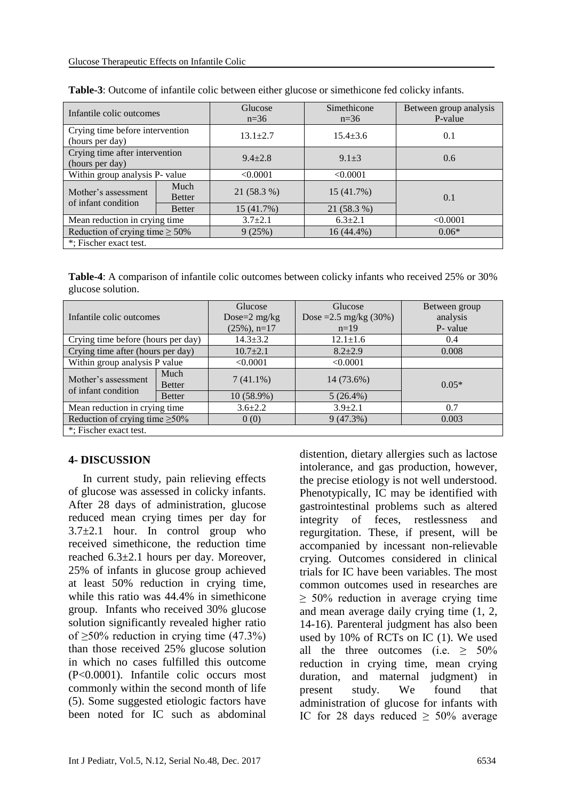| Infantile colic outcomes                           |                       | Glucose<br>$n=36$ | Simethicone<br>$n=36$ | Between group analysis<br>P-value |
|----------------------------------------------------|-----------------------|-------------------|-----------------------|-----------------------------------|
| Crying time before intervention<br>(hours per day) |                       | $13.1 + 2.7$      | $15.4 \pm 3.6$        | 0.1                               |
| Crying time after intervention<br>(hours per day)  |                       | $9.4 + 2.8$       | $9.1 + 3$             | 0.6                               |
| Within group analysis P- value                     |                       | < 0.0001          | < 0.0001              |                                   |
| Mother's assessment<br>of infant condition         | Much<br><b>Better</b> | 21 (58.3 %)       | 15 (41.7%)            | 0.1                               |
|                                                    | <b>Better</b>         | 15(41.7%)         | 21 (58.3 %)           |                                   |
| Mean reduction in crying time                      |                       | $3.7 \pm 2.1$     | $6.3 \pm 2.1$         | < 0.0001                          |
| Reduction of crying time $\geq 50\%$               |                       | 9(25%)            | $16(44.4\%)$          | $0.06*$                           |
| *; Fischer exact test.                             |                       |                   |                       |                                   |

| <b>Table-3:</b> Outcome of infantile colic between either glucose or simethicone fed colicky infants. |  |
|-------------------------------------------------------------------------------------------------------|--|
|-------------------------------------------------------------------------------------------------------|--|

**Table-4**: A comparison of infantile colic outcomes between colicky infants who received 25% or 30% glucose solution.

| Infantile colic outcomes             |               | Glucose<br>Dose= $2 \text{ mg/kg}$ | Glucose<br>Dose = $2.5 \text{ mg/kg}$ (30%) | Between group<br>analysis |  |
|--------------------------------------|---------------|------------------------------------|---------------------------------------------|---------------------------|--|
|                                      |               | $(25\%)$ , n=17                    | $n=19$                                      | P- value                  |  |
| Crying time before (hours per day)   |               | $14.3 \pm 3.2$                     | $12.1 \pm 1.6$                              | 0.4                       |  |
| Crying time after (hours per day)    |               | $10.7 \pm 2.1$                     | $8.2 \pm 2.9$                               | 0.008                     |  |
| Within group analysis P value        |               | < 0.0001                           | < 0.0001                                    |                           |  |
| Mother's assessment                  | Much          | $7(41.1\%)$                        | 14 (73.6%)                                  |                           |  |
| of infant condition                  | <b>Better</b> |                                    |                                             | $0.05*$                   |  |
|                                      | <b>Better</b> | $10(58.9\%)$                       | $5(26.4\%)$                                 |                           |  |
| Mean reduction in crying time        |               | $3.6 \pm 2.2$                      | $3.9 + 2.1$                                 | 0.7                       |  |
| Reduction of crying time $\geq 50\%$ |               | 0(0)                               | 9(47.3%)                                    | 0.003                     |  |
| *; Fischer exact test.               |               |                                    |                                             |                           |  |

#### **4- DISCUSSION**

 In current study, pain relieving effects of glucose was assessed in colicky infants. After 28 days of administration, glucose reduced mean crying times per day for  $3.7\pm2.1$  hour. In control group who received simethicone, the reduction time reached 6.3±2.1 hours per day. Moreover, 25% of infants in glucose group achieved at least 50% reduction in crying time, while this ratio was 44.4% in simethicone group. Infants who received 30% glucose solution significantly revealed higher ratio of  $\geq$ 50% reduction in crying time (47.3%) than those received 25% glucose solution in which no cases fulfilled this outcome (P<0.0001). Infantile colic occurs most commonly within the second month of life (5). Some suggested etiologic factors have been noted for IC such as abdominal

distention, dietary allergies such as lactose intolerance, and gas production, however, the precise etiology is not well understood. Phenotypically, IC may be identified with gastrointestinal problems such as altered integrity of feces, restlessness and regurgitation. These, if present, will be accompanied by incessant non-relievable crying. Outcomes considered in clinical trials for IC have been variables. The most common outcomes used in researches are ≥ 50% reduction in average crying time and mean average daily crying time (1, 2, 14-16). Parenteral judgment has also been used by 10% of RCTs on IC (1). We used all the three outcomes (i.e.  $\geq 50\%$ ) reduction in crying time, mean crying duration, and maternal judgment) in present study. We found that administration of glucose for infants with IC for 28 days reduced  $\geq 50\%$  average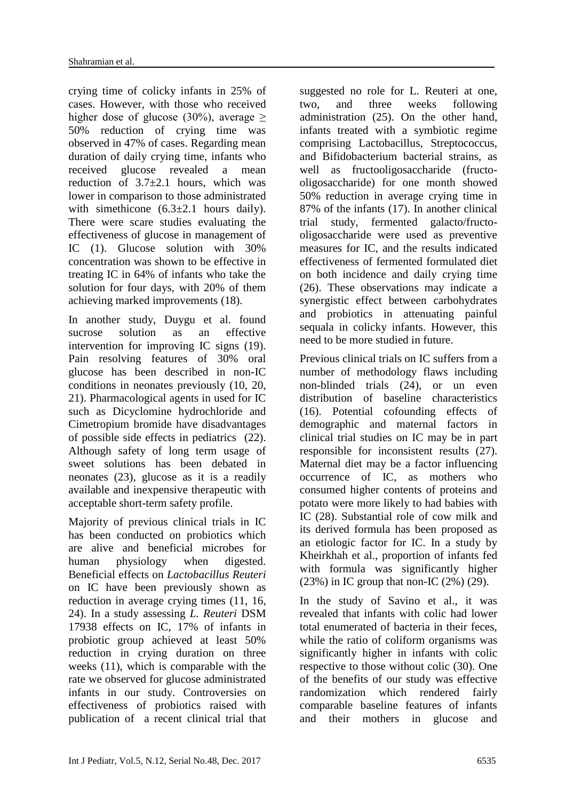crying time of colicky infants in 25% of cases. However, with those who received higher dose of glucose (30%), average  $\geq$ 50% reduction of crying time was observed in 47% of cases. Regarding mean duration of daily crying time, infants who received glucose revealed a mean reduction of  $3.7\pm2.1$  hours, which was lower in comparison to those administrated with simethicone  $(6.3\pm2.1$  hours daily). There were scare studies evaluating the effectiveness of glucose in management of IC (1). Glucose solution with 30% concentration was shown to be effective in treating IC in 64% of infants who take the solution for four days, with 20% of them achieving marked improvements (18).

In another study, Duygu et al. found sucrose solution as an effective intervention for improving IC signs (19). Pain resolving features of 30% oral glucose has been described in non-IC conditions in neonates previously (10, 20, 21). Pharmacological agents in used for IC such as Dicyclomine hydrochloride and Cimetropium bromide have disadvantages of possible side effects in pediatrics (22). Although safety of long term usage of sweet solutions has been debated in neonates (23), glucose as it is a readily available and inexpensive therapeutic with acceptable short-term safety profile.

Majority of previous clinical trials in IC has been conducted on probiotics which are alive and beneficial microbes for human physiology when digested. Beneficial effects on *Lactobacillus Reuteri* on IC have been previously shown as reduction in average crying times (11, 16, 24). In a study assessing *L. Reuteri* DSM 17938 effects on IC, 17% of infants in probiotic group achieved at least 50% reduction in crying duration on three weeks (11), which is comparable with the rate we observed for glucose administrated infants in our study. Controversies on effectiveness of probiotics raised with publication of a recent clinical trial that suggested no role for L. Reuteri at one, two, and three weeks following administration (25). On the other hand, infants treated with a symbiotic regime comprising Lactobacillus, Streptococcus, and Bifidobacterium bacterial strains, as well as fructooligosaccharide (fructooligosaccharide) for one month showed 50% reduction in average crying time in 87% of the infants (17). In another clinical trial study, fermented galacto/fructooligosaccharide were used as preventive measures for IC, and the results indicated effectiveness of fermented formulated diet on both incidence and daily crying time (26). These observations may indicate a synergistic effect between carbohydrates and probiotics in attenuating painful sequala in colicky infants. However, this need to be more studied in future.

Previous clinical trials on IC suffers from a number of methodology flaws including non-blinded trials (24), or un even distribution of baseline characteristics (16). Potential cofounding effects of demographic and maternal factors in clinical trial studies on IC may be in part responsible for inconsistent results (27). Maternal diet may be a factor influencing occurrence of IC, as mothers who consumed higher contents of proteins and potato were more likely to had babies with IC (28). Substantial role of cow milk and its derived formula has been proposed as an etiologic factor for IC. In a study by Kheirkhah et al., proportion of infants fed with formula was significantly higher  $(23%)$  in IC group that non-IC  $(2%)$   $(29)$ .

In the study of Savino et al., it was revealed that infants with colic had lower total enumerated of bacteria in their feces, while the ratio of coliform organisms was significantly higher in infants with colic respective to those without colic (30). One of the benefits of our study was effective randomization which rendered fairly comparable baseline features of infants and their mothers in glucose and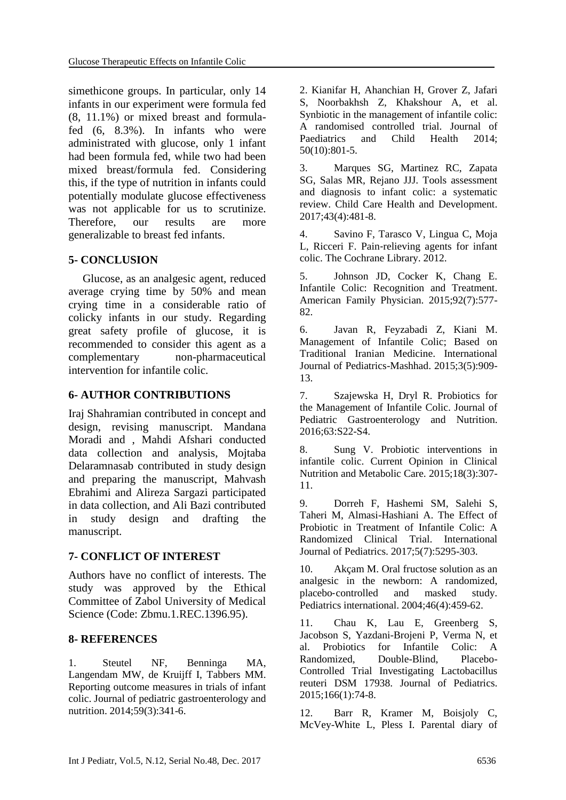simethicone groups. In particular, only 14 infants in our experiment were formula fed (8, 11.1%) or mixed breast and formulafed (6, 8.3%). In infants who were administrated with glucose, only 1 infant had been formula fed, while two had been mixed breast/formula fed. Considering this, if the type of nutrition in infants could potentially modulate glucose effectiveness was not applicable for us to scrutinize. Therefore, our results are more generalizable to breast fed infants.

#### **5- CONCLUSION**

 Glucose, as an analgesic agent, reduced average crying time by 50% and mean crying time in a considerable ratio of colicky infants in our study. Regarding great safety profile of glucose, it is recommended to consider this agent as a complementary non-pharmaceutical intervention for infantile colic.

#### **6- AUTHOR CONTRIBUTIONS**

Iraj Shahramian contributed in concept and design, revising manuscript. Mandana Moradi and , Mahdi Afshari conducted data collection and analysis, Mojtaba Delaramnasab contributed in study design and preparing the manuscript, Mahvash Ebrahimi and Alireza Sargazi participated in data collection, and Ali Bazi contributed in study design and drafting the manuscript.

#### **7- CONFLICT OF INTEREST**

Authors have no conflict of interests. The study was approved by the Ethical Committee of Zabol University of Medical Science (Code: Zbmu.1.REC.1396.95).

#### **8- REFERENCES**

1. Steutel NF, Benninga MA, Langendam MW, de Kruijff I, Tabbers MM. Reporting outcome measures in trials of infant colic. Journal of pediatric gastroenterology and nutrition. 2014;59(3):341-6.

2. [Kianifar H,](https://www.scopus.com/authid/detail.uri?authorId=29067925900&eid=2-s2.0-84908247473) [Ahanchian H,](https://www.scopus.com/authid/detail.uri?authorId=21833701600&eid=2-s2.0-84908247473) [Grover Z,](https://www.scopus.com/authid/detail.uri?authorId=16301181100&eid=2-s2.0-84908247473) [Jafari](https://www.scopus.com/authid/detail.uri?authorId=55442873400&eid=2-s2.0-84908247473)  [S,](https://www.scopus.com/authid/detail.uri?authorId=55442873400&eid=2-s2.0-84908247473) [Noorbakhsh Z,](https://www.scopus.com/authid/detail.uri?authorId=56222140900&eid=2-s2.0-84908247473) [Khakshour A,](https://www.scopus.com/authid/detail.uri?authorId=55550328600&eid=2-s2.0-84908247473) et al. Synbiotic in the management of infantile colic: A randomised controlled trial. [Journal of](https://www.scopus.com/sourceid/15108?origin=recordpage)  [Paediatrics and Child Health](https://www.scopus.com/sourceid/15108?origin=recordpage) 2014; 50(10):801-5.

3. Marques SG, Martinez RC, Zapata SG, Salas MR, Rejano JJJ. Tools assessment and diagnosis to infant colic: a systematic review. Child Care Health and Development. 2017;43(4):481-8.

4. Savino F, Tarasco V, Lingua C, Moja L, Ricceri F. Pain‐relieving agents for infant colic. The Cochrane Library. 2012.

5. Johnson JD, Cocker K, Chang E. Infantile Colic: Recognition and Treatment. American Family Physician. 2015;92(7):577- 82.

6. Javan R, Feyzabadi Z, Kiani M. Management of Infantile Colic; Based on Traditional Iranian Medicine. International Journal of Pediatrics-Mashhad. 2015;3(5):909- 13.

7. Szajewska H, Dryl R. Probiotics for the Management of Infantile Colic. Journal of Pediatric Gastroenterology and Nutrition. 2016;63:S22-S4.

8. Sung V. Probiotic interventions in infantile colic. Current Opinion in Clinical Nutrition and Metabolic Care. 2015;18(3):307- 11.

9. Dorreh F, Hashemi SM, Salehi S, Taheri M, Almasi-Hashiani A. The Effect of Probiotic in Treatment of Infantile Colic: A Randomized Clinical Trial. International Journal of Pediatrics. 2017;5(7):5295-303.

10. Akçam M. Oral fructose solution as an analgesic in the newborn: A randomized, placebo‐controlled and masked study. Pediatrics international. 2004;46(4):459-62.

11. Chau K, Lau E, Greenberg S, Jacobson S, Yazdani-Brojeni P, Verma N, et al. Probiotics for Infantile Colic: A Randomized, Double-Blind, Placebo-Controlled Trial Investigating Lactobacillus reuteri DSM 17938. Journal of Pediatrics. 2015;166(1):74-8.

12. Barr R, Kramer M, Boisjoly C, McVey-White L, Pless I. Parental diary of